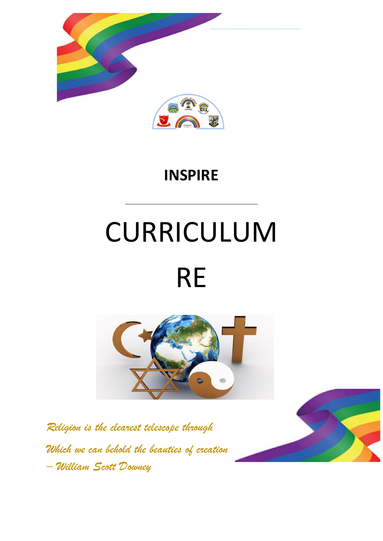

# **INSPIRE**

**\_\_\_\_\_\_\_\_\_\_\_\_\_\_\_\_\_\_\_\_\_\_\_**

# CURRICULUM RE



*Religion is the clearest telescope through Which we can behold the beauties of creation – William Scott Downey*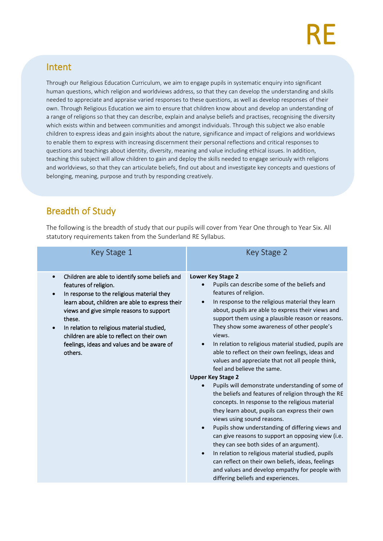#### Intent

Through our Religious Education Curriculum, we aim to engage pupils in systematic enquiry into significant human questions, which religion and worldviews address, so that they can develop the understanding and skills needed to appreciate and appraise varied responses to these questions, as well as develop responses of their own. Through Religious Education we aim to ensure that children know about and develop an understanding of a range of religions so that they can describe, explain and analyse beliefs and practises, recognising the diversity which exists within and between communities and amongst individuals. Through this subject we also enable children to express ideas and gain insights about the nature, significance and impact of religions and worldviews to enable them to express with increasing discernment their personal reflections and critical responses to questions and teachings about identity, diversity, meaning and value including ethical issues. In addition, teaching this subject will allow children to gain and deploy the skills needed to engage seriously with religions and worldviews, so that they can articulate beliefs, find out about and investigate key concepts and questions of belonging, meaning, purpose and truth by responding creatively.

## Breadth of Study

The following is the breadth of study that our pupils will cover from Year One through to Year Six. All statutory requirements taken from the Sunderland RE Syllabus.

| Key Stage 1                                                                                                                                                                                                                                                                                                                                                                                                               | Key Stage 2                                                                                                                                                                                                                                                                                                                                                                                                                                                                                                                                                                                                                                                                                                                                                                                                                                                                                                                                                                                                                                                                                                                                                                |
|---------------------------------------------------------------------------------------------------------------------------------------------------------------------------------------------------------------------------------------------------------------------------------------------------------------------------------------------------------------------------------------------------------------------------|----------------------------------------------------------------------------------------------------------------------------------------------------------------------------------------------------------------------------------------------------------------------------------------------------------------------------------------------------------------------------------------------------------------------------------------------------------------------------------------------------------------------------------------------------------------------------------------------------------------------------------------------------------------------------------------------------------------------------------------------------------------------------------------------------------------------------------------------------------------------------------------------------------------------------------------------------------------------------------------------------------------------------------------------------------------------------------------------------------------------------------------------------------------------------|
| Children are able to identify some beliefs and<br>$\bullet$<br>features of religion.<br>In response to the religious material they<br>$\bullet$<br>learn about, children are able to express their<br>views and give simple reasons to support<br>these.<br>In relation to religious material studied,<br>$\bullet$<br>children are able to reflect on their own<br>feelings, ideas and values and be aware of<br>others. | Lower Key Stage 2<br>Pupils can describe some of the beliefs and<br>features of religion.<br>In response to the religious material they learn<br>$\bullet$<br>about, pupils are able to express their views and<br>support them using a plausible reason or reasons.<br>They show some awareness of other people's<br>views.<br>In relation to religious material studied, pupils are<br>able to reflect on their own feelings, ideas and<br>values and appreciate that not all people think,<br>feel and believe the same.<br><b>Upper Key Stage 2</b><br>Pupils will demonstrate understanding of some of<br>the beliefs and features of religion through the RE<br>concepts. In response to the religious material<br>they learn about, pupils can express their own<br>views using sound reasons.<br>Pupils show understanding of differing views and<br>can give reasons to support an opposing view (i.e.<br>they can see both sides of an argument).<br>In relation to religious material studied, pupils<br>$\bullet$<br>can reflect on their own beliefs, ideas, feelings<br>and values and develop empathy for people with<br>differing beliefs and experiences. |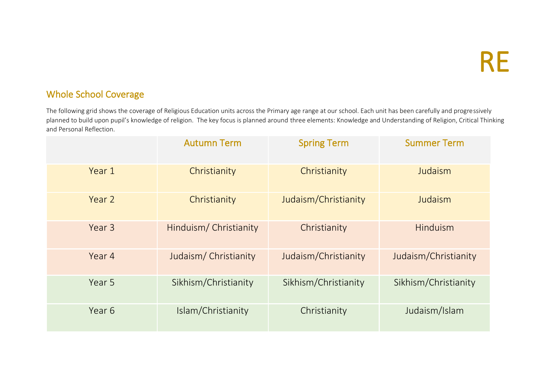### Whole School Coverage

The following grid shows the coverage of Religious Education units across the Primary age range at our school. Each unit has been carefully and progressively planned to build upon pupil's knowledge of religion. The key focus is planned around three elements: Knowledge and Understanding of Religion, Critical Thinking and Personal Reflection.

|        | <b>Autumn Term</b>     | <b>Spring Term</b>   | <b>Summer Term</b>   |
|--------|------------------------|----------------------|----------------------|
| Year 1 | Christianity           | Christianity         | Judaism              |
| Year 2 | Christianity           | Judaism/Christianity | Judaism              |
| Year 3 | Hinduism/ Christianity | Christianity         | Hinduism             |
| Year 4 | Judaism/Christianity   | Judaism/Christianity | Judaism/Christianity |
| Year 5 | Sikhism/Christianity   | Sikhism/Christianity | Sikhism/Christianity |
| Year 6 | Islam/Christianity     | Christianity         | Judaism/Islam        |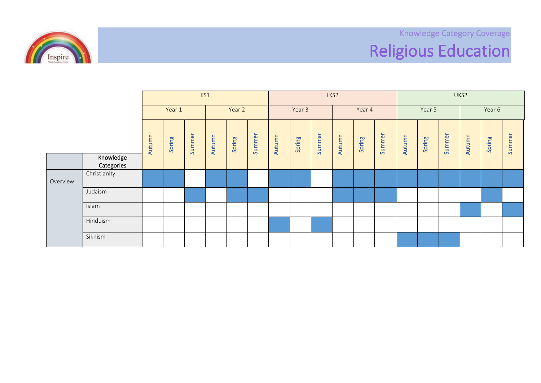Knowledge Category Coverage Religious Education



|          |                         | KS1    |        |        |        |        |        | LKS <sub>2</sub> |        |        |        |        |        |        | UKS2   |        |        |        |        |  |
|----------|-------------------------|--------|--------|--------|--------|--------|--------|------------------|--------|--------|--------|--------|--------|--------|--------|--------|--------|--------|--------|--|
| Year 1   |                         | Year 2 |        |        | Year 3 |        |        | Year 4           |        |        | Year 5 |        |        | Year 6 |        |        |        |        |        |  |
|          |                         | Autumn | Spring | Summer | Autumn | Spring | Summer | Autumn           | Spring | Summer | Autumn | Spring | Summer | Autumn | Spring | Summer | Autumn | Spring | Summer |  |
|          | Knowledge<br>Categories |        |        |        |        |        |        |                  |        |        |        |        |        |        |        |        |        |        |        |  |
| Overview | Christianity            |        |        |        |        |        |        |                  |        |        |        |        |        |        |        |        |        |        |        |  |
|          | Judaism                 |        |        |        |        |        |        |                  |        |        |        |        |        |        |        |        |        |        |        |  |
|          | Islam                   |        |        |        |        |        |        |                  |        |        |        |        |        |        |        |        |        |        |        |  |
|          | Hinduism                |        |        |        |        |        |        |                  |        |        |        |        |        |        |        |        |        |        |        |  |
|          | Sikhism                 |        |        |        |        |        |        |                  |        |        |        |        |        |        |        |        |        |        |        |  |